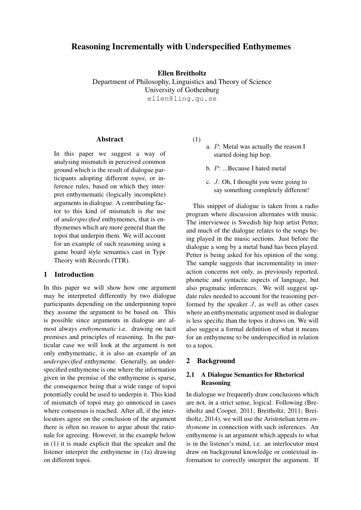# Reasoning Incrementally with Underspecified Enthymemes

### Ellen Breitholtz

Department of Philosophy, Linguistics and Theory of Science University of Gothenburg ellen@ling.gu.se

### Abstract

In this paper we suggest a way of analysing mismatch in perceived common ground which is the result of dialogue participants adopting different *topoi*, or inference rules, based on which they interpret enthymematic (logically incomplete) arguments in dialogue. A contributing factor to this kind of mismatch is the use of *underspecified* enthymemes, that is enthymemes which are more general than the topoi that underpin them. We will account for an example of such reasoning using a game board style semantics cast in Type Theory with Records (TTR).

### 1 Introduction

In this paper we will show how one argument may be interpreted differently by two dialogue participants depending on the underpinning topoi they assume the argument to be based on. This is possible since arguments in dialogue are almost always *enthymematic* i.e. drawing on tacit premises and principles of reasoning. In the particular case we will look at the argument is not only enthymematic, it is also an example of an *underspecified* enthymeme. Generally, an underspecified enthymeme is one where the information given in the premise of the enthymeme is sparse, the consequence being that a wide range of topoi potentially could be used to underpin it. This kind of mismatch of topoi may go unnoticed in cases where consensus is reached. After all, if the interlocutors agree on the conclusion of the argument there is often no reason to argue about the rationale for agreeing. However, in the example below in (1) it is made explicit that the speaker and the listener interpret the enthymeme in (1a) drawing on different topoi.

(1)

- a. P: Metal was actually the reason I started doing hip hop.
- b. P: ...Because I hated metal
- c. J: Oh, I thought you were going to say something completely different!

This snippet of dialogue is taken from a radio program where discussion alternates with music. The interviewee is Swedish hip hop artist Petter, and much of the dialogue relates to the songs being played in the music sections. Just before the dialogue a song by a metal band has been played. Petter is being asked for his opinion of the song. The sample suggests that incrementality in interaction concerns not only, as previously reported, phonetic and syntactic aspects of language, but also pragmatic inferences. We will suggest update rules needed to account for the reasoning performed by the speaker J, as well as other cases where an enthymematic argument used in dialogue is less specific than the topos it draws on. We will also suggest a formal definition of what it means for an enthymeme to be underspecified in relation to a topos.

# 2 Background

## 2.1 A Dialogue Semantics for Rhetorical Reasoning

In dialogue we frequently draw conclusions which are not, in a strict sense, logical. Following (Breitholtz and Cooper, 2011; Breitholtz, 2011; Breitholtz, 2014), we will use the Aristotelian term *enthymeme* in connection with such inferences. An enthymeme is an argument which appeals to what is in the listener's mind, i.e. an interlocutor must draw on background knowledge or contextual information to correctly interpret the argument. If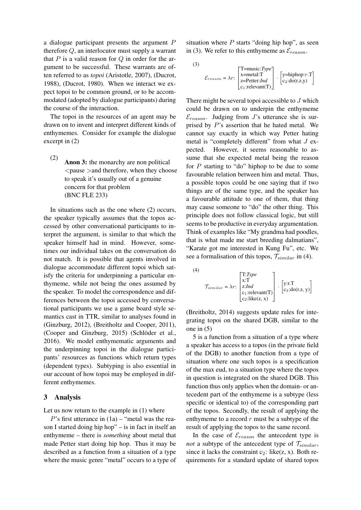a dialogue participant presents the argument P therefore Q, an interlocutor must supply a warrant that  $P$  is a valid reason for  $Q$  in order for the argument to be successful. These warrants are often referred to as *topoi* (Aristotle, 2007), (Ducrot, 1988), (Ducrot, 1980). When we interact we expect topoi to be common ground, or to be accommodated (adopted by dialogue participants) during the course of the interaction.

The topoi in the resources of an agent may be drawn on to invent and interpret different kinds of enthymemes. Consider for example the dialogue excerpt in (2)

(2) **Anon 3:** the monarchy are non political  $\langle$  pause  $\rangle$  and therefore, when they choose to speak it's usually out of a genuine concern for that problem (BNC FLE 233)

In situations such as the one where (2) occurs, the speaker typically assumes that the topos accessed by other conversational participants to interpret the argument, is similar to that which the speaker himself had in mind. However, sometimes our individual takes on the conversation do not match. It is possible that agents involved in dialogue accommodate different topoi which satisfy the criteria for underpinning a particular enthymeme, while not being the ones assumed by the speaker. To model the correspondence and differences between the topoi accessed by conversational participants we use a game board style semantics cast in TTR, similar to analyses found in (Ginzburg, 2012), (Breitholtz and Cooper, 2011),  $(Cooper and Ginzburg, 2015)$  (Schlöder et al., 2016). We model enthymematic arguments and the underpinning topoi in the dialogue participants' resources as functions which return types (dependent types). Subtyping is also essential in our account of how topoi may be employed in different enthymemes.

### 3 Analysis

Let us now return to the example in (1) where

 $P$ 's first utterance in  $(1a)$  – "metal was the reason I started doing hip hop" – is in fact in itself an enthymeme – there is *something* about metal that made Petter start doing hip hop. Thus it may be described as a function from a situation of a type where the music genre "metal" occurs to a type of

situation where  $P$  starts "doing hip hop", as seen in (3). We refer to this enthymeme as  $\mathcal{E}_{reason}$ .

$$
\left( 3\right)
$$

$$
\mathcal{E}_{reason} = \lambda r: \begin{bmatrix} T = music:Type \\ x = metal:T \\ z = Petter:Ind \\ c_1:relevant(T) \end{bmatrix} \cdot \begin{bmatrix} y = hiphop:r.T \\ c_2:do(r.z,y) \end{bmatrix}
$$

There might be several topoi accessible to  $J$  which could be drawn on to underpin the enthymeme  $\mathcal{E}_{reason.}$  Judging from J's utterance she is surprised by P's assertion that he hated metal. We cannot say exactly in which way Petter hating metal is "completely different" from what  $J$  expected. However, it seems reasonable to assume that she expected metal being the reason for  $P$  starting to "do" hiphop to be due to some favourable relation between him and metal. Thus, a possible topos could be one saying that if two things are of the same type, and the speaker has a favourable attitude to one of them, that thing may cause someone to "do" the other thing. This principle does not follow classical logic, but still seems to be productive in everyday argumentation. Think of examples like "My grandma had poodles, that is what made me start breeding dalmatians", "Karate got me interested in Kung Fu", etc. We see a formalisation of this topos,  $\mathcal{T}_{similar}$  in (4).

(4)

$$
\mathcal{T}_{similar} = \lambda r: \begin{bmatrix} T:Type \\ x:T \\ z:Ind \\ c_1:relevant(T) \\ c_2:like(z, x) \end{bmatrix} \cdot \begin{bmatrix} y:r.T \\ s:do(r.z, y) \end{bmatrix}
$$

(Breitholtz, 2014) suggests update rules for integrating topoi on the shared DGB, similar to the one in (5)

5 is a function from a situation of a type where a speaker has access to a topos (in the private field of the DGB) to another function from a type of situation where one such topos is a specification of the max eud, to a situation type where the topos in question is integrated on the shared DGB. This function thus only applies when the domain- or antecedent part of the enthymeme is a subtype (less specific or identical to) of the corresponding part of the topos. Secondly, the result of applying the enthymeme to a record  $r$  must be a subtype of the result of applying the topos to the same record.

In the case of  $\mathcal{E}_{reason}$  the antecedent type is *not* a subtype of the antecedent type of  $\mathcal{T}_{similar}$ , since it lacks the constraint  $c_2$ : like(z, x). Both requirements for a standard update of shared topos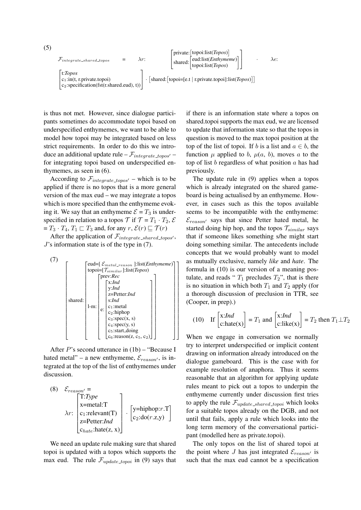

is thus not met. However, since dialogue participants sometimes do accommodate topoi based on underspecified enthymemes, we want to be able to model how topoi may be integrated based on less strict requirements. In order to do this we introduce an additional update rule –  $\mathcal{F}_{integrate\_topos'}$  – for integrating topoi based on underspecified enthymemes, as seen in (6).

According to  $\mathcal{F}_{intearate\_topos'}$  – which is to be applied if there is no topos that is a more general version of the max eud – we may integrate a topos which is more specified than the enthymeme evoking it. We say that an enthymeme  $\mathcal{E} = T_3$  is underspecified in relation to a topos  $\mathcal T$  if  $\mathcal T = T_1 \cdot T_2$ ,  $\mathcal E$  $T = T_3 \cdot T_4$ ,  $T_1 \sqsubset T_3$  and, for any  $r, \mathcal{E}(r) \sqsubseteq \mathcal{T}(r)$ 

After the application of  $\mathcal{F}_{integrate\_shared\_topos'}$ , J's information state is of the type in (7).



After  $P$ 's second utterance in  $(1b)$  – "Because I hated metal" – a new enthymeme,  $\mathcal{E}_{reason'}$ , is integrated at the top of the list of enthymemes under discussion.

(8) 
$$
\mathcal{E}_{reason'} =
$$
  
\n $\lambda r$ :  $\begin{bmatrix}\nT:Type \\
x=metal:T \\
c_1:relevant(T) \\
z=Peter:Ind \\
c_{hate}:hate(z, x)\n\end{bmatrix}$ .  $\begin{bmatrix}\ny = hiphop:r.T \\
c_2:do(r.z,y)\n\end{bmatrix}$ 

We need an update rule making sure that shared topoi is updated with a topos which supports the max eud. The rule  $\mathcal{F}_{update\_topoi}$  in (9) says that

if there is an information state where a topos on shared.topoi supports the max eud, we are licensed to update that information state so that the topos in question is moved to the max topoi position at the top of the list of topoi. If b is a list and  $a \in b$ , the function  $\mu$  applied to b,  $\mu(a, b)$ , moves a to the top of list  $b$  regardless of what position  $a$  has had previously.

The update rule in (9) applies when a topos which is already integrated on the shared gameboard is being actualised by an enthymeme. However, in cases such as this the topos available seems to be incompatible with the enthymeme:  $\mathcal{E}_{reason'}$  says that since Petter hated metal, he started doing hip hop, and the topos  $\mathcal{T}_{similar}$  says that if someone likes something s/he might start doing something similar. The antecedents include concepts that we would probably want to model as mutually exclusive, namely *like* and *hate*. The formula in (10) is our version of a meaning postulate, and reads " $T_1$  precludes  $T_2$ ", that is there is no situation in which both  $T_1$  and  $T_2$  apply (for a thorough discussion of preclusion in TTR, see (Cooper, in prep).)

(10) If 
$$
\begin{bmatrix} x: Ind \\ c:hat(x) \end{bmatrix} = T_1
$$
 and  $\begin{bmatrix} x: Ind \\ c:like(x) \end{bmatrix} = T_2$  then  $T_1 \perp T_2$ 

When we engage in conversation we normally try to interpret underspecified or implicit content drawing on information already introduced on the dialogue gameboard. This is the case with for example resolution of anaphora. Thus it seems reasonable that an algorithm for applying update rules meant to pick out a topos to underpin the enthymeme currently under discussion first tries to apply the rule  $\mathcal{F}_{update\_shared\_topoi}$  which looks for a suitable topos already on the DGB, and not until that fails, apply a rule which looks into the long term memory of the conversational participant (modelled here as private.topoi).

The only topos on the list of shared topoi at the point where J has just integrated  $\mathcal{E}_{reason'}$  is such that the max eud cannot be a specification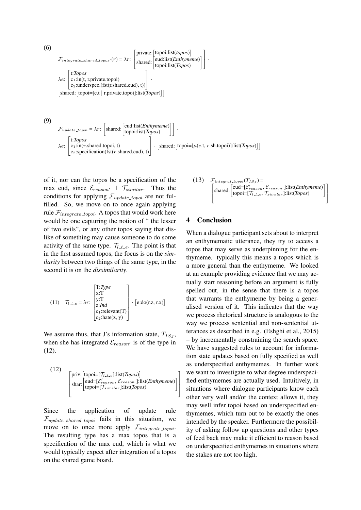(6)  
\n
$$
\mathcal{F}_{integrate\_shared\_topos'}(r) = \lambda r: \begin{bmatrix} \text{private:} [\text{topoi:list}(topos)] \\ \text{shared:} [\text{eucl:list}(Enthymeme)] \\ \text{topoi:list}(Topos) \end{bmatrix} \end{bmatrix}.
$$
\n
$$
\lambda e: \begin{bmatrix} t: Topos \\ c_1: \text{in}(t, r, private.topo) \\ c_2: \text{underspec.(fst(r.shared.edu), t)} \end{bmatrix}.
$$
\n[shared: [topoi=[e.t | r, private.topo]:list(Topos)]]\n(9)  
\n
$$
\mathcal{F}_{update\_topoi} = \lambda r: \begin{bmatrix} \text{shared:} [\text{eucl:list}(Enthymeme)] \\ \text{topoi:list(Topos) \end{bmatrix} \end{bmatrix}.
$$
\n
$$
\lambda e: \begin{bmatrix} t: Topos \\ c_1: \text{in}(r. \text{shared.topoi, t)} \\ c_2: \text{specification(fst(r. \text{shared.edu}), t)} \end{bmatrix} \cdot [\text{shared:} [\text{topoi} = [\mu(e.t, r. \text{sh.topoi})]: list(Topos)]
$$

of it, nor can the topos be a specification of the max eud, since  $\mathcal{E}_{reason'} \perp \mathcal{T}_{similar}$ . Thus the conditions for applying  $\mathcal{F}_{update\_topoi}$  are not fulfilled. So, we move on to once again applying rule  $\mathcal{F}_{intearate\_topoi}$ . A topos that would work here would be one capturing the notion of " the lesser of two evils", or any other topos saying that dislike of something may cause someone to do some activity of the same type.  $\mathcal{T}_{l_{\perp}}$ . The point is that in the first assumed topos, the focus is on the *similarity* between two things of the same type, in the second it is on the *dissimilarity*.

(11) 
$$
\mathcal{T}_{L \cdot L \cdot e} = \lambda r: \begin{bmatrix} T: Type \\ x: T \\ y: T \\ z: Ind \\ c_1: relevant(T) \\ c_2: hate(z, y) \end{bmatrix} \cdot [e:do(r.z, r.x)]
$$

We assume thus, that J's information state,  $T_{IS}$ , when she has integrated  $\mathcal{E}_{reason'}$  is of the type in (12).

(12)  
\n
$$
\begin{bmatrix}\n\text{priv:} [\text{topoi}=[T_{l\text{-}t\text{-}e}]\text{:list}(Topos)] \\
\text{sharp:} [\text{eud}=[\mathcal{E}_{reason}^{\prime}, \mathcal{E}_{reason}] \text{:list}(Enthyperne)] \\
\text{topoi}=[T_{similar}]\text{:list}(Topos)\n\end{bmatrix}
$$

Since the application of update rule  $\mathcal{F}_{update\_shared\_topoi}$  fails in this situation, we move on to once more apply  $\mathcal{F}_{integrate\_topoi}$ . The resulting type has a max topos that is a specification of the max eud, which is what we would typically expect after integration of a topos on the shared game board.

(13) 
$$
\mathcal{F}_{integrat\_topoi}(T_{IS_J}) = \left[\text{shared:}\left[\text{eud} = [\mathcal{E}_{reason}', \mathcal{E}_{reason}\right] : \text{list}(Enthypname)\right] \right]
$$
  
shared: 
$$
\left[\text{topoi} = [T_{i.t.e}, T_{similar}]: \text{list}(Topos)\right]
$$

#### 4 Conclusion

When a dialogue participant sets about to interpret an enthymematic utterance, they try to access a topos that may serve as underpinning for the enthymeme. typically this means a topos which is a more general than the enthymeme. We looked at an example providing evidence that we may actually start reasoning before an argument is fully spelled out, in the sense that there is a topos that warrants the enthymeme by being a generalised version of it. This indicates that the way we process rhetorical structure is analogous to the way we process sentential and non-sentential utterances as described in e.g. (Eshghi et al., 2015) – by incrementally constraining the search space. We have suggested rules to account for information state updates based on fully specified as well as underspecified enthymemes. In further work we want to investigate to what degree underspecified enthymemes are actually used. Intuitively, in situations where dialogue participants know each other very well and/or the context allows it, they may well infer topoi based on underspecified enthymemes, which turn out to be exactly the ones intended by the speaker. Furthermore the possibility of asking follow up questions and other types of feed back may make it efficient to reason based on underspecified enthymemes in situations where the stakes are not too high.